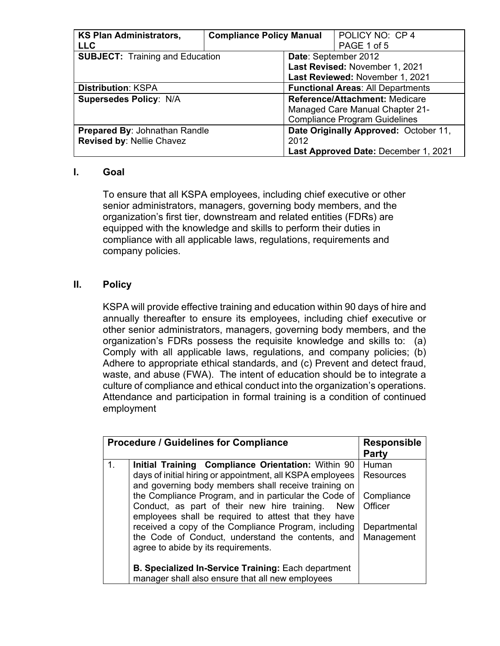| <b>KS Plan Administrators,</b>                                        | <b>Compliance Policy Manual</b> |                                        | POLICY NO: CP 4                      |
|-----------------------------------------------------------------------|---------------------------------|----------------------------------------|--------------------------------------|
| <b>LLC</b>                                                            |                                 |                                        | PAGE 1 of 5                          |
| <b>SUBJECT: Training and Education</b>                                |                                 | Date: September 2012                   |                                      |
|                                                                       |                                 | Last Revised: November 1, 2021         |                                      |
|                                                                       |                                 | Last Reviewed: November 1, 2021        |                                      |
| <b>Functional Areas: All Departments</b><br><b>Distribution: KSPA</b> |                                 |                                        |                                      |
| <b>Supersedes Policy: N/A</b>                                         |                                 | <b>Reference/Attachment: Medicare</b>  |                                      |
|                                                                       |                                 | <b>Managed Care Manual Chapter 21-</b> |                                      |
|                                                                       |                                 | <b>Compliance Program Guidelines</b>   |                                      |
| Prepared By: Johnathan Randle                                         |                                 | Date Originally Approved: October 11,  |                                      |
| Revised by: Nellie Chavez                                             |                                 | 2012                                   |                                      |
|                                                                       |                                 |                                        | Last Approved Date: December 1, 2021 |

## **I. Goal**

To ensure that all KSPA employees, including chief executive or other senior administrators, managers, governing body members, and the organization's first tier, downstream and related entities (FDRs) are equipped with the knowledge and skills to perform their duties in compliance with all applicable laws, regulations, requirements and company policies.

## **II. Policy**

KSPA will provide effective training and education within 90 days of hire and annually thereafter to ensure its employees, including chief executive or other senior administrators, managers, governing body members, and the organization's FDRs possess the requisite knowledge and skills to: (a) Comply with all applicable laws, regulations, and company policies; (b) Adhere to appropriate ethical standards, and (c) Prevent and detect fraud, waste, and abuse (FWA). The intent of education should be to integrate a culture of compliance and ethical conduct into the organization's operations. Attendance and participation in formal training is a condition of continued employment

| <b>Procedure / Guidelines for Compliance</b> | <b>Responsible</b>                                         |                  |  |
|----------------------------------------------|------------------------------------------------------------|------------------|--|
|                                              | Party                                                      |                  |  |
| 1.                                           | Initial Training Compliance Orientation: Within 90         | Human            |  |
|                                              | days of initial hiring or appointment, all KSPA employees  | <b>Resources</b> |  |
|                                              | and governing body members shall receive training on       |                  |  |
|                                              | the Compliance Program, and in particular the Code of      | Compliance       |  |
|                                              | Conduct, as part of their new hire training.<br><b>New</b> | Officer          |  |
|                                              | employees shall be required to attest that they have       |                  |  |
|                                              | received a copy of the Compliance Program, including       | Departmental     |  |
|                                              | the Code of Conduct, understand the contents, and          | Management       |  |
|                                              | agree to abide by its requirements.                        |                  |  |
|                                              |                                                            |                  |  |
|                                              | <b>B. Specialized In-Service Training: Each department</b> |                  |  |
|                                              | manager shall also ensure that all new employees           |                  |  |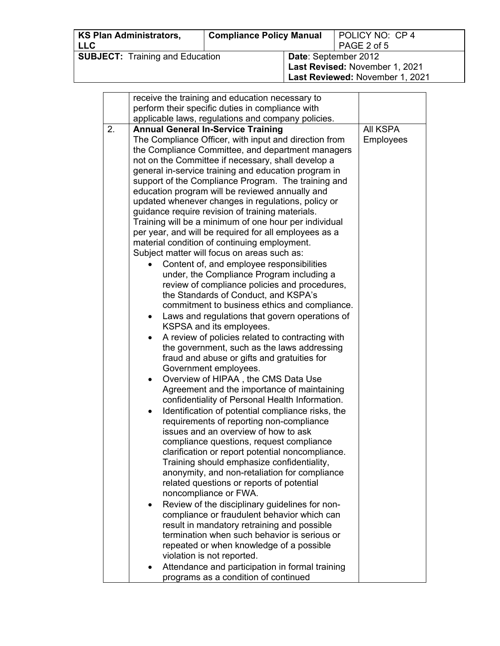| <b>KS Plan Administrators,</b><br><b>LLC</b> | <b>Compliance Policy Manual</b> |                                                                                                  | POLICY NO: CP 4<br>PAGE 2 of 5 |
|----------------------------------------------|---------------------------------|--------------------------------------------------------------------------------------------------|--------------------------------|
| <b>SUBJECT:</b> Training and Education       |                                 | <b>Date: September 2012</b><br>Last Revised: November 1, 2021<br>Last Reviewed: November 1, 2021 |                                |

|    | receive the training and education necessary to                                              |                  |
|----|----------------------------------------------------------------------------------------------|------------------|
|    | perform their specific duties in compliance with                                             |                  |
|    | applicable laws, regulations and company policies.                                           |                  |
| 2. | <b>Annual General In-Service Training</b>                                                    | All KSPA         |
|    | The Compliance Officer, with input and direction from                                        | <b>Employees</b> |
|    | the Compliance Committee, and department managers                                            |                  |
|    | not on the Committee if necessary, shall develop a                                           |                  |
|    | general in-service training and education program in                                         |                  |
|    | support of the Compliance Program. The training and                                          |                  |
|    | education program will be reviewed annually and                                              |                  |
|    | updated whenever changes in regulations, policy or                                           |                  |
|    | guidance require revision of training materials.                                             |                  |
|    | Training will be a minimum of one hour per individual                                        |                  |
|    | per year, and will be required for all employees as a                                        |                  |
|    | material condition of continuing employment.                                                 |                  |
|    | Subject matter will focus on areas such as:                                                  |                  |
|    | Content of, and employee responsibilities                                                    |                  |
|    | under, the Compliance Program including a                                                    |                  |
|    | review of compliance policies and procedures,                                                |                  |
|    | the Standards of Conduct, and KSPA's                                                         |                  |
|    | commitment to business ethics and compliance.                                                |                  |
|    | Laws and regulations that govern operations of<br>٠                                          |                  |
|    | KSPSA and its employees.                                                                     |                  |
|    | A review of policies related to contracting with                                             |                  |
|    | the government, such as the laws addressing                                                  |                  |
|    | fraud and abuse or gifts and gratuities for                                                  |                  |
|    | Government employees.                                                                        |                  |
|    | Overview of HIPAA, the CMS Data Use                                                          |                  |
|    | Agreement and the importance of maintaining                                                  |                  |
|    | confidentiality of Personal Health Information.                                              |                  |
|    | Identification of potential compliance risks, the                                            |                  |
|    | requirements of reporting non-compliance<br>issues and an overview of how to ask             |                  |
|    |                                                                                              |                  |
|    | compliance questions, request compliance<br>clarification or report potential noncompliance. |                  |
|    | Training should emphasize confidentiality,                                                   |                  |
|    | anonymity, and non-retaliation for compliance                                                |                  |
|    | related questions or reports of potential                                                    |                  |
|    | noncompliance or FWA.                                                                        |                  |
|    | Review of the disciplinary guidelines for non-<br>٠                                          |                  |
|    | compliance or fraudulent behavior which can                                                  |                  |
|    | result in mandatory retraining and possible                                                  |                  |
|    | termination when such behavior is serious or                                                 |                  |
|    | repeated or when knowledge of a possible                                                     |                  |
|    | violation is not reported.                                                                   |                  |
|    | Attendance and participation in formal training                                              |                  |
|    | programs as a condition of continued                                                         |                  |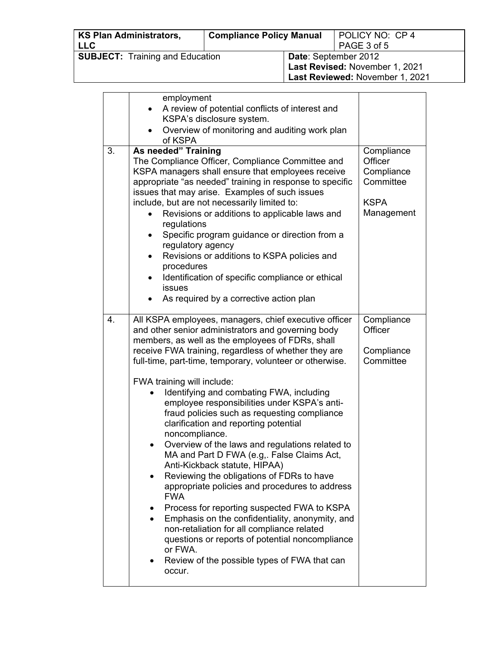| <b>KS Plan Administrators,</b>         | <b>Compliance Policy Manual</b> |                             | POLICY NO: CP 4                 |
|----------------------------------------|---------------------------------|-----------------------------|---------------------------------|
| <b>LLC</b>                             |                                 |                             | PAGE 3 of 5                     |
| <b>SUBJECT:</b> Training and Education |                                 | <b>Date: September 2012</b> |                                 |
|                                        |                                 |                             | Last Revised: November 1, 2021  |
|                                        |                                 |                             | Last Reviewed: November 1, 2021 |

|    | employment                                                    |             |
|----|---------------------------------------------------------------|-------------|
|    | A review of potential conflicts of interest and               |             |
|    | KSPA's disclosure system.                                     |             |
|    | Overview of monitoring and auditing work plan<br>$\bullet$    |             |
|    | of KSPA                                                       |             |
| 3. | As needed" Training                                           | Compliance  |
|    | The Compliance Officer, Compliance Committee and              | Officer     |
|    | KSPA managers shall ensure that employees receive             | Compliance  |
|    | appropriate "as needed" training in response to specific      | Committee   |
|    | issues that may arise. Examples of such issues                |             |
|    | include, but are not necessarily limited to:                  | <b>KSPA</b> |
|    | Revisions or additions to applicable laws and                 | Management  |
|    | regulations                                                   |             |
|    | Specific program guidance or direction from a                 |             |
|    | regulatory agency                                             |             |
|    | Revisions or additions to KSPA policies and<br>$\bullet$      |             |
|    | procedures                                                    |             |
|    | Identification of specific compliance or ethical<br>$\bullet$ |             |
|    | <b>issues</b><br>As required by a corrective action plan      |             |
|    |                                                               |             |
| 4. | All KSPA employees, managers, chief executive officer         | Compliance  |
|    | and other senior administrators and governing body            | Officer     |
|    | members, as well as the employees of FDRs, shall              |             |
|    | receive FWA training, regardless of whether they are          | Compliance  |
|    | full-time, part-time, temporary, volunteer or otherwise.      | Committee   |
|    |                                                               |             |
|    | FWA training will include:                                    |             |
|    | Identifying and combating FWA, including                      |             |
|    | employee responsibilities under KSPA's anti-                  |             |
|    | fraud policies such as requesting compliance                  |             |
|    | clarification and reporting potential                         |             |
|    | noncompliance.                                                |             |
|    | Overview of the laws and regulations related to<br>$\bullet$  |             |
|    | MA and Part D FWA (e.g,. False Claims Act,                    |             |
|    | Anti-Kickback statute, HIPAA)                                 |             |
|    | Reviewing the obligations of FDRs to have                     |             |
|    | appropriate policies and procedures to address<br><b>FWA</b>  |             |
|    | Process for reporting suspected FWA to KSPA                   |             |
|    | Emphasis on the confidentiality, anonymity, and               |             |
|    | $\bullet$<br>non-retaliation for all compliance related       |             |
|    | questions or reports of potential noncompliance               |             |
|    | or FWA.                                                       |             |
|    | Review of the possible types of FWA that can                  |             |
|    | occur.                                                        |             |
|    |                                                               |             |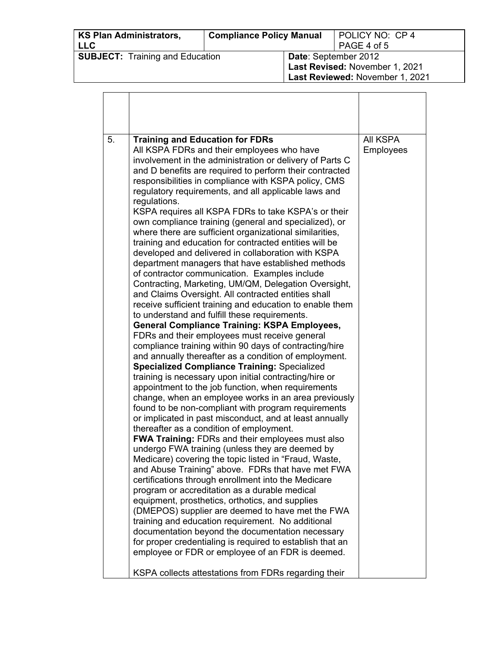| <b>KS Plan Administrators,</b><br><b>LLC</b> | <b>Compliance Policy Manual</b> |                                                                                           | POLICY NO: CP 4<br>PAGE 4 of 5 |
|----------------------------------------------|---------------------------------|-------------------------------------------------------------------------------------------|--------------------------------|
| <b>SUBJECT:</b> Training and Education       |                                 | Date: September 2012<br>Last Revised: November 1, 2021<br>Last Reviewed: November 1, 2021 |                                |